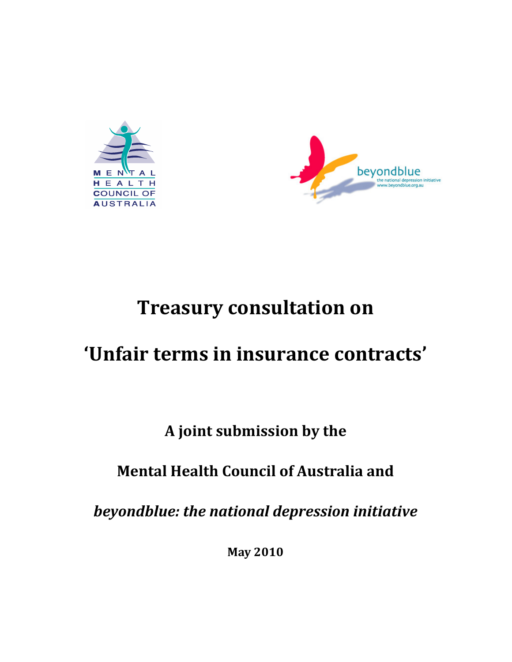



# Treasury consultation on

# 'Unfair terms in insurance contracts'

# A joint submission by the

# Mental Health Council of Australia and

beyondblue: the national depression initiative

May 2010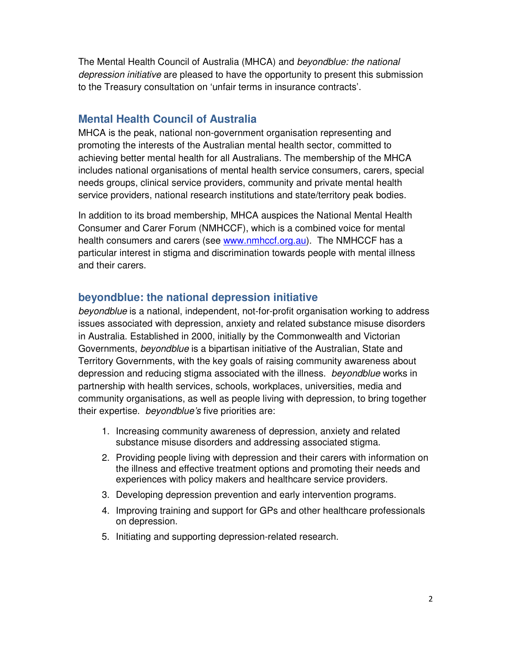The Mental Health Council of Australia (MHCA) and beyondblue: the national depression initiative are pleased to have the opportunity to present this submission to the Treasury consultation on 'unfair terms in insurance contracts'.

#### **Mental Health Council of Australia**

MHCA is the peak, national non-government organisation representing and promoting the interests of the Australian mental health sector, committed to achieving better mental health for all Australians. The membership of the MHCA includes national organisations of mental health service consumers, carers, special needs groups, clinical service providers, community and private mental health service providers, national research institutions and state/territory peak bodies.

In addition to its broad membership, MHCA auspices the National Mental Health Consumer and Carer Forum (NMHCCF), which is a combined voice for mental health consumers and carers (see www.nmhccf.org.au). The NMHCCF has a particular interest in stigma and discrimination towards people with mental illness and their carers.

#### **beyondblue: the national depression initiative**

beyondblue is a national, independent, not-for-profit organisation working to address issues associated with depression, anxiety and related substance misuse disorders in Australia. Established in 2000, initially by the Commonwealth and Victorian Governments, beyondblue is a bipartisan initiative of the Australian, State and Territory Governments, with the key goals of raising community awareness about depression and reducing stigma associated with the illness. *beyondblue* works in partnership with health services, schools, workplaces, universities, media and community organisations, as well as people living with depression, to bring together their expertise. beyondblue's five priorities are:

- 1. Increasing community awareness of depression, anxiety and related substance misuse disorders and addressing associated stigma.
- 2. Providing people living with depression and their carers with information on the illness and effective treatment options and promoting their needs and experiences with policy makers and healthcare service providers.
- 3. Developing depression prevention and early intervention programs.
- 4. Improving training and support for GPs and other healthcare professionals on depression.
- 5. Initiating and supporting depression-related research.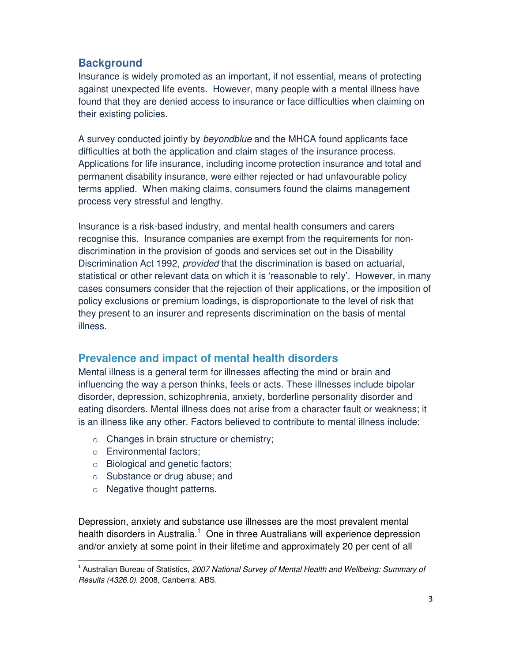### **Background**

Insurance is widely promoted as an important, if not essential, means of protecting against unexpected life events. However, many people with a mental illness have found that they are denied access to insurance or face difficulties when claiming on their existing policies.

A survey conducted jointly by beyondblue and the MHCA found applicants face difficulties at both the application and claim stages of the insurance process. Applications for life insurance, including income protection insurance and total and permanent disability insurance, were either rejected or had unfavourable policy terms applied. When making claims, consumers found the claims management process very stressful and lengthy.

Insurance is a risk-based industry, and mental health consumers and carers recognise this. Insurance companies are exempt from the requirements for nondiscrimination in the provision of goods and services set out in the Disability Discrimination Act 1992, *provided* that the discrimination is based on actuarial, statistical or other relevant data on which it is 'reasonable to rely'. However, in many cases consumers consider that the rejection of their applications, or the imposition of policy exclusions or premium loadings, is disproportionate to the level of risk that they present to an insurer and represents discrimination on the basis of mental illness.

#### **Prevalence and impact of mental health disorders**

Mental illness is a general term for illnesses affecting the mind or brain and influencing the way a person thinks, feels or acts. These illnesses include bipolar disorder, depression, schizophrenia, anxiety, borderline personality disorder and eating disorders. Mental illness does not arise from a character fault or weakness; it is an illness like any other. Factors believed to contribute to mental illness include:

- o Changes in brain structure or chemistry;
- o Environmental factors;

.

- o Biological and genetic factors;
- o Substance or drug abuse; and
- o Negative thought patterns.

Depression, anxiety and substance use illnesses are the most prevalent mental health disorders in Australia.<sup>1</sup> One in three Australians will experience depression and/or anxiety at some point in their lifetime and approximately 20 per cent of all

<sup>&</sup>lt;sup>1</sup> Australian Bureau of Statistics, 2007 National Survey of Mental Health and Wellbeing: Summary of Results (4326.0). 2008, Canberra: ABS.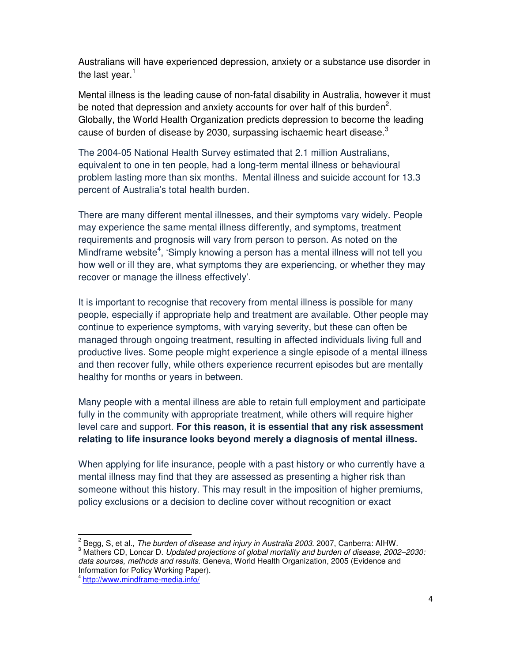Australians will have experienced depression, anxiety or a substance use disorder in the last vear. $<sup>1</sup>$ </sup>

Mental illness is the leading cause of non-fatal disability in Australia, however it must be noted that depression and anxiety accounts for over half of this burden<sup>2</sup>. Globally, the World Health Organization predicts depression to become the leading cause of burden of disease by 2030, surpassing ischaemic heart disease. $^3$ 

The 2004-05 National Health Survey estimated that 2.1 million Australians, equivalent to one in ten people, had a long-term mental illness or behavioural problem lasting more than six months. Mental illness and suicide account for 13.3 percent of Australia's total health burden.

There are many different mental illnesses, and their symptoms vary widely. People may experience the same mental illness differently, and symptoms, treatment requirements and prognosis will vary from person to person. As noted on the Mindframe website<sup>4</sup>, 'Simply knowing a person has a mental illness will not tell you how well or ill they are, what symptoms they are experiencing, or whether they may recover or manage the illness effectively'.

It is important to recognise that recovery from mental illness is possible for many people, especially if appropriate help and treatment are available. Other people may continue to experience symptoms, with varying severity, but these can often be managed through ongoing treatment, resulting in affected individuals living full and productive lives. Some people might experience a single episode of a mental illness and then recover fully, while others experience recurrent episodes but are mentally healthy for months or years in between.

Many people with a mental illness are able to retain full employment and participate fully in the community with appropriate treatment, while others will require higher level care and support. **For this reason, it is essential that any risk assessment relating to life insurance looks beyond merely a diagnosis of mental illness.**

When applying for life insurance, people with a past history or who currently have a mental illness may find that they are assessed as presenting a higher risk than someone without this history. This may result in the imposition of higher premiums, policy exclusions or a decision to decline cover without recognition or exact

.

 $2^{2}$  Begg, S, et al., *The burden of disease and injury in Australia 2003.* 2007, Canberra: AIHW.  $3$  Mathers CD, Loncar D. Updated projections of global mortality and burden of disease, 2002–2030: data sources, methods and results. Geneva, World Health Organization, 2005 (Evidence and Information for Policy Working Paper).

<sup>4</sup> http://www.mindframe-media.info/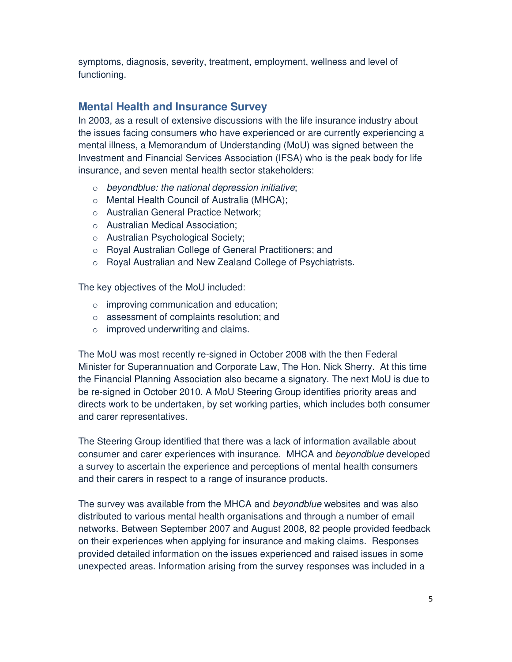symptoms, diagnosis, severity, treatment, employment, wellness and level of functioning.

### **Mental Health and Insurance Survey**

In 2003, as a result of extensive discussions with the life insurance industry about the issues facing consumers who have experienced or are currently experiencing a mental illness, a Memorandum of Understanding (MoU) was signed between the Investment and Financial Services Association (IFSA) who is the peak body for life insurance, and seven mental health sector stakeholders:

- $\circ$  beyondblue: the national depression initiative;
- o Mental Health Council of Australia (MHCA);
- o Australian General Practice Network;
- o Australian Medical Association;
- o Australian Psychological Society;
- o Royal Australian College of General Practitioners; and
- o Royal Australian and New Zealand College of Psychiatrists.

The key objectives of the MoU included:

- o improving communication and education;
- o assessment of complaints resolution; and
- $\circ$  improved underwriting and claims.

The MoU was most recently re-signed in October 2008 with the then Federal Minister for Superannuation and Corporate Law, The Hon. Nick Sherry. At this time the Financial Planning Association also became a signatory. The next MoU is due to be re-signed in October 2010. A MoU Steering Group identifies priority areas and directs work to be undertaken, by set working parties, which includes both consumer and carer representatives.

The Steering Group identified that there was a lack of information available about consumer and carer experiences with insurance. MHCA and beyondblue developed a survey to ascertain the experience and perceptions of mental health consumers and their carers in respect to a range of insurance products.

The survey was available from the MHCA and *beyondblue* websites and was also distributed to various mental health organisations and through a number of email networks. Between September 2007 and August 2008, 82 people provided feedback on their experiences when applying for insurance and making claims. Responses provided detailed information on the issues experienced and raised issues in some unexpected areas. Information arising from the survey responses was included in a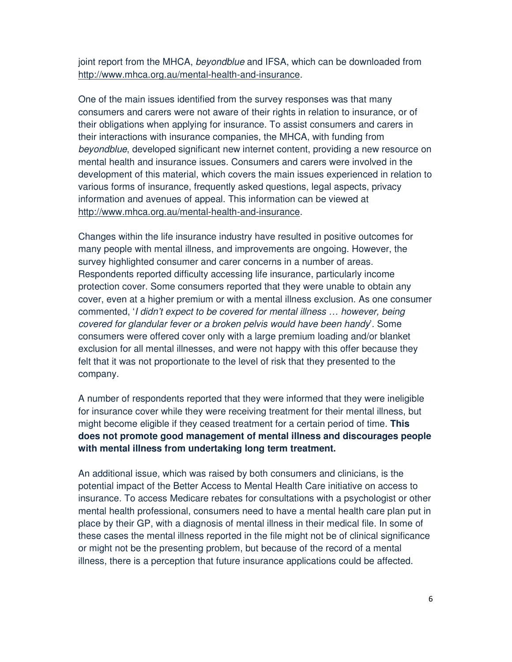joint report from the MHCA, beyondblue and IFSA, which can be downloaded from http://www.mhca.org.au/mental-health-and-insurance.

One of the main issues identified from the survey responses was that many consumers and carers were not aware of their rights in relation to insurance, or of their obligations when applying for insurance. To assist consumers and carers in their interactions with insurance companies, the MHCA, with funding from beyondblue, developed significant new internet content, providing a new resource on mental health and insurance issues. Consumers and carers were involved in the development of this material, which covers the main issues experienced in relation to various forms of insurance, frequently asked questions, legal aspects, privacy information and avenues of appeal. This information can be viewed at http://www.mhca.org.au/mental-health-and-insurance.

Changes within the life insurance industry have resulted in positive outcomes for many people with mental illness, and improvements are ongoing. However, the survey highlighted consumer and carer concerns in a number of areas. Respondents reported difficulty accessing life insurance, particularly income protection cover. Some consumers reported that they were unable to obtain any cover, even at a higher premium or with a mental illness exclusion. As one consumer commented, 'I didn't expect to be covered for mental illness … however, being covered for glandular fever or a broken pelvis would have been handy'. Some consumers were offered cover only with a large premium loading and/or blanket exclusion for all mental illnesses, and were not happy with this offer because they felt that it was not proportionate to the level of risk that they presented to the company.

A number of respondents reported that they were informed that they were ineligible for insurance cover while they were receiving treatment for their mental illness, but might become eligible if they ceased treatment for a certain period of time. **This does not promote good management of mental illness and discourages people with mental illness from undertaking long term treatment.**

An additional issue, which was raised by both consumers and clinicians, is the potential impact of the Better Access to Mental Health Care initiative on access to insurance. To access Medicare rebates for consultations with a psychologist or other mental health professional, consumers need to have a mental health care plan put in place by their GP, with a diagnosis of mental illness in their medical file. In some of these cases the mental illness reported in the file might not be of clinical significance or might not be the presenting problem, but because of the record of a mental illness, there is a perception that future insurance applications could be affected.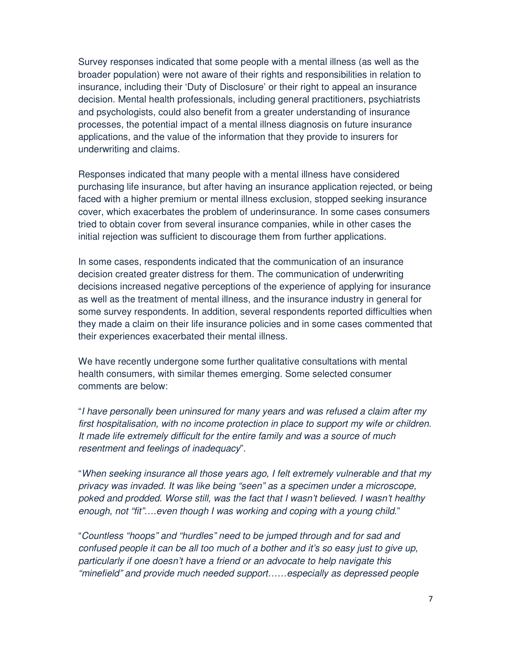Survey responses indicated that some people with a mental illness (as well as the broader population) were not aware of their rights and responsibilities in relation to insurance, including their 'Duty of Disclosure' or their right to appeal an insurance decision. Mental health professionals, including general practitioners, psychiatrists and psychologists, could also benefit from a greater understanding of insurance processes, the potential impact of a mental illness diagnosis on future insurance applications, and the value of the information that they provide to insurers for underwriting and claims.

Responses indicated that many people with a mental illness have considered purchasing life insurance, but after having an insurance application rejected, or being faced with a higher premium or mental illness exclusion, stopped seeking insurance cover, which exacerbates the problem of underinsurance. In some cases consumers tried to obtain cover from several insurance companies, while in other cases the initial rejection was sufficient to discourage them from further applications.

In some cases, respondents indicated that the communication of an insurance decision created greater distress for them. The communication of underwriting decisions increased negative perceptions of the experience of applying for insurance as well as the treatment of mental illness, and the insurance industry in general for some survey respondents. In addition, several respondents reported difficulties when they made a claim on their life insurance policies and in some cases commented that their experiences exacerbated their mental illness.

We have recently undergone some further qualitative consultations with mental health consumers, with similar themes emerging. Some selected consumer comments are below:

"I have personally been uninsured for many years and was refused a claim after my first hospitalisation, with no income protection in place to support my wife or children. It made life extremely difficult for the entire family and was a source of much resentment and feelings of inadequacy".

"When seeking insurance all those years ago, I felt extremely vulnerable and that my privacy was invaded. It was like being "seen" as a specimen under a microscope, poked and prodded. Worse still, was the fact that I wasn't believed. I wasn't healthy enough, not "fit"....even though I was working and coping with a young child."

"Countless "hoops" and "hurdles" need to be jumped through and for sad and confused people it can be all too much of a bother and it's so easy just to give up, particularly if one doesn't have a friend or an advocate to help navigate this "minefield" and provide much needed support……especially as depressed people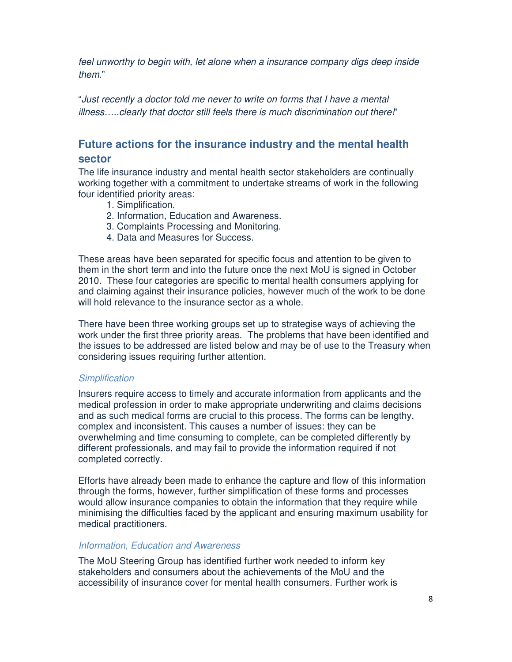feel unworthy to begin with, let alone when a insurance company digs deep inside them."

"Just recently a doctor told me never to write on forms that I have a mental illness.....clearly that doctor still feels there is much discrimination out there!"

## **Future actions for the insurance industry and the mental health sector**

The life insurance industry and mental health sector stakeholders are continually working together with a commitment to undertake streams of work in the following four identified priority areas:

- 1. Simplification.
- 2. Information, Education and Awareness.
- 3. Complaints Processing and Monitoring.
- 4. Data and Measures for Success.

These areas have been separated for specific focus and attention to be given to them in the short term and into the future once the next MoU is signed in October 2010. These four categories are specific to mental health consumers applying for and claiming against their insurance policies, however much of the work to be done will hold relevance to the insurance sector as a whole.

There have been three working groups set up to strategise ways of achieving the work under the first three priority areas. The problems that have been identified and the issues to be addressed are listed below and may be of use to the Treasury when considering issues requiring further attention.

#### **Simplification**

Insurers require access to timely and accurate information from applicants and the medical profession in order to make appropriate underwriting and claims decisions and as such medical forms are crucial to this process. The forms can be lengthy, complex and inconsistent. This causes a number of issues: they can be overwhelming and time consuming to complete, can be completed differently by different professionals, and may fail to provide the information required if not completed correctly.

Efforts have already been made to enhance the capture and flow of this information through the forms, however, further simplification of these forms and processes would allow insurance companies to obtain the information that they require while minimising the difficulties faced by the applicant and ensuring maximum usability for medical practitioners.

#### Information, Education and Awareness

The MoU Steering Group has identified further work needed to inform key stakeholders and consumers about the achievements of the MoU and the accessibility of insurance cover for mental health consumers. Further work is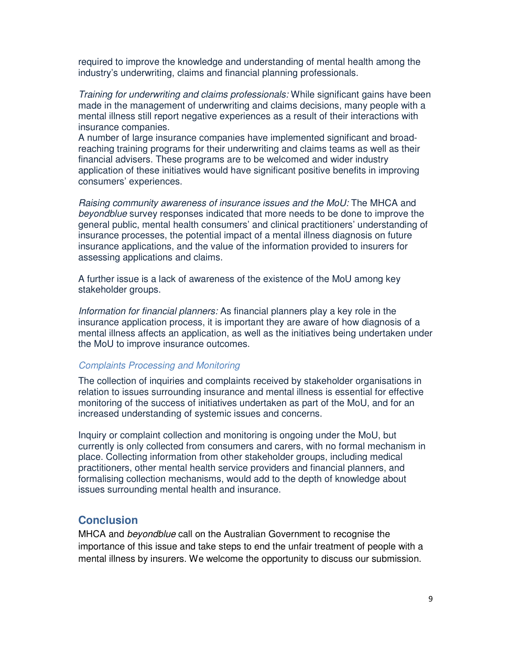required to improve the knowledge and understanding of mental health among the industry's underwriting, claims and financial planning professionals.

Training for underwriting and claims professionals: While significant gains have been made in the management of underwriting and claims decisions, many people with a mental illness still report negative experiences as a result of their interactions with insurance companies.

A number of large insurance companies have implemented significant and broadreaching training programs for their underwriting and claims teams as well as their financial advisers. These programs are to be welcomed and wider industry application of these initiatives would have significant positive benefits in improving consumers' experiences.

Raising community awareness of insurance issues and the MoU: The MHCA and beyondblue survey responses indicated that more needs to be done to improve the general public, mental health consumers' and clinical practitioners' understanding of insurance processes, the potential impact of a mental illness diagnosis on future insurance applications, and the value of the information provided to insurers for assessing applications and claims.

A further issue is a lack of awareness of the existence of the MoU among key stakeholder groups.

Information for financial planners: As financial planners play a key role in the insurance application process, it is important they are aware of how diagnosis of a mental illness affects an application, as well as the initiatives being undertaken under the MoU to improve insurance outcomes.

#### Complaints Processing and Monitoring

The collection of inquiries and complaints received by stakeholder organisations in relation to issues surrounding insurance and mental illness is essential for effective monitoring of the success of initiatives undertaken as part of the MoU, and for an increased understanding of systemic issues and concerns.

Inquiry or complaint collection and monitoring is ongoing under the MoU, but currently is only collected from consumers and carers, with no formal mechanism in place. Collecting information from other stakeholder groups, including medical practitioners, other mental health service providers and financial planners, and formalising collection mechanisms, would add to the depth of knowledge about issues surrounding mental health and insurance.

#### **Conclusion**

MHCA and beyondblue call on the Australian Government to recognise the importance of this issue and take steps to end the unfair treatment of people with a mental illness by insurers. We welcome the opportunity to discuss our submission.